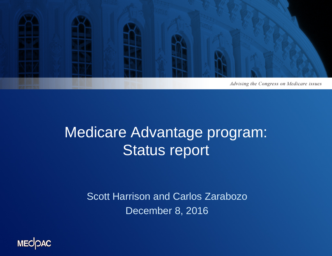

### Medicare Advantage program: Status report

Scott Harrison and Carlos Zarabozo December 8, 2016

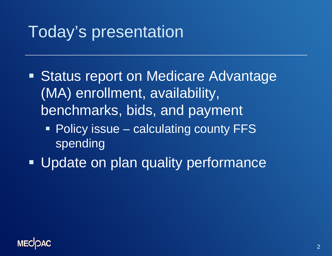# Today's presentation

- **Status report on Medicare Advantage** (MA) enrollment, availability, benchmarks, bids, and payment
	- Policy issue calculating county FFS spending
- **Update on plan quality performance**

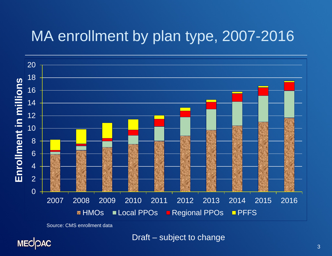### MA enrollment by plan type, 2007-2016



Source: CMS enrollment data

**MECOAC** 

Draft – subject to change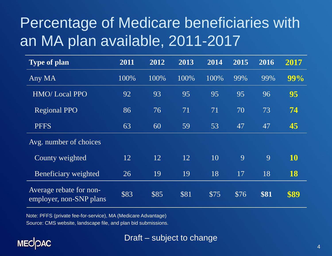# Percentage of Medicare beneficiaries with an MA plan available, 2011-2017

| Type of plan                                       | 2011 | 2012 | 2013 | 2014 | $\overline{2015}$ | 2016 | 2017 |
|----------------------------------------------------|------|------|------|------|-------------------|------|------|
| Any MA                                             | 100% | 100% | 100% | 100% | 99%               | 99%  | 99%  |
| <b>HMO/Local PPO</b>                               | 92   | 93   | 95   | 95   | 95                | 96   | 95   |
| <b>Regional PPO</b>                                | 86   | 76   | 71   | 71   | 70                | 73   | 74   |
| <b>PFFS</b>                                        | 63   | 60   | 59   | 53   | 47                | 47   | 45   |
| Avg. number of choices                             |      |      |      |      |                   |      |      |
| County weighted                                    | 12   | 12   | 12   | 10   | 9                 | 9    | 10   |
| Beneficiary weighted                               | 26   | 19   | 19   | 18   | 17                | 18   | 18   |
| Average rebate for non-<br>employer, non-SNP plans | \$83 | \$85 | \$81 | \$75 | \$76              | \$81 | \$89 |

Note: PFFS (private fee-for-service), MA (Medicare Advantage) Source: CMS website, landscape file, and plan bid submissions.

#### **MECOAC**

#### Draft – subject to change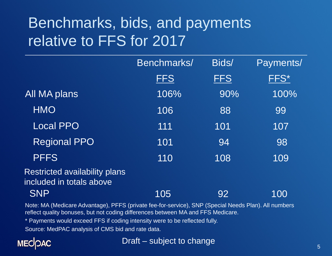# Benchmarks, bids, and payments relative to FFS for 2017

|                                                                  | Benchmarks/ | Bids/      | Payments/ |  |
|------------------------------------------------------------------|-------------|------------|-----------|--|
|                                                                  | <b>FFS</b>  | <b>FFS</b> | FFS*      |  |
| All MA plans                                                     | 106%        | 90%        | 100%      |  |
| <b>HMO</b>                                                       | 106         | 88         | 99        |  |
| <b>Local PPO</b>                                                 | 111         | 101        | 107       |  |
| <b>Regional PPO</b>                                              | 101         | 94         | 98        |  |
| <b>PFFS</b>                                                      | 110         | 108        | 109       |  |
| <b>Restricted availability plans</b><br>included in totals above |             |            |           |  |
| <b>SNP</b>                                                       | 105         | 92         | 100       |  |

Note: MA (Medicare Advantage), PFFS (private fee-for-service), SNP (Special Needs Plan). All numbers reflect quality bonuses, but not coding differences between MA and FFS Medicare.

\* Payments would exceed FFS if coding intensity were to be reflected fully.

Source: MedPAC analysis of CMS bid and rate data.



Draft – subject to change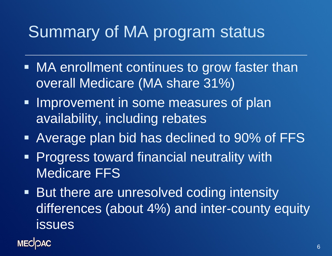# Summary of MA program status

- MA enrollment continues to grow faster than overall Medicare (MA share 31%)
- **Improvement in some measures of plan** availability, including rebates
- Average plan bid has declined to 90% of FFS
- **Progress toward financial neutrality with** Medicare FFS
- **But there are unresolved coding intensity** differences (about 4%) and inter-county equity issues

**MECOAC**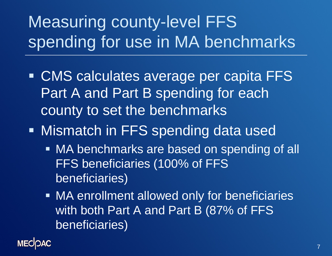# Measuring county-level FFS spending for use in MA benchmarks

- CMS calculates average per capita FFS Part A and Part B spending for each county to set the benchmarks
- **Mismatch in FFS spending data used** 
	- MA benchmarks are based on spending of all FFS beneficiaries (100% of FFS beneficiaries)
	- MA enrollment allowed only for beneficiaries with both Part A and Part B (87% of FFS) beneficiaries)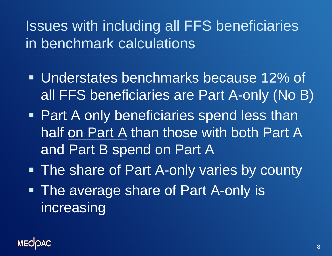## Issues with including all FFS beneficiaries in benchmark calculations

- Understates benchmarks because 12% of all FFS beneficiaries are Part A-only (No B)
- **Part A only beneficiaries spend less than** half on Part A than those with both Part A and Part B spend on Part A
- **The share of Part A-only varies by county**
- The average share of Part A-only is increasing

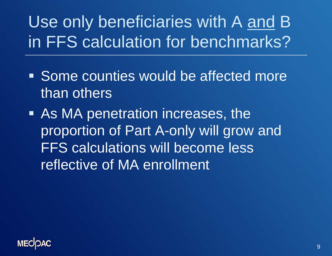Use only beneficiaries with A and B in FFS calculation for benchmarks?

- **Some counties would be affected more** than others
- As MA penetration increases, the proportion of Part A-only will grow and FFS calculations will become less reflective of MA enrollment

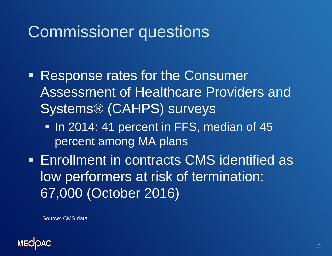# Commissioner questions

- **Response rates for the Consumer** Assessment of Healthcare Providers and Systems® (CAHPS) surveys
	- In 2014: 41 percent in FFS, median of 45 percent among MA plans
- Enrollment in contracts CMS identified as low performers at risk of termination: 67,000 (October 2016)

Source: CMS data

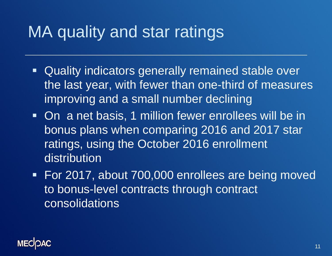# MA quality and star ratings

- Quality indicators generally remained stable over the last year, with fewer than one-third of measures improving and a small number declining
- On a net basis, 1 million fewer enrollees will be in bonus plans when comparing 2016 and 2017 star ratings, using the October 2016 enrollment distribution
- For 2017, about 700,000 enrollees are being moved to bonus-level contracts through contract consolidations